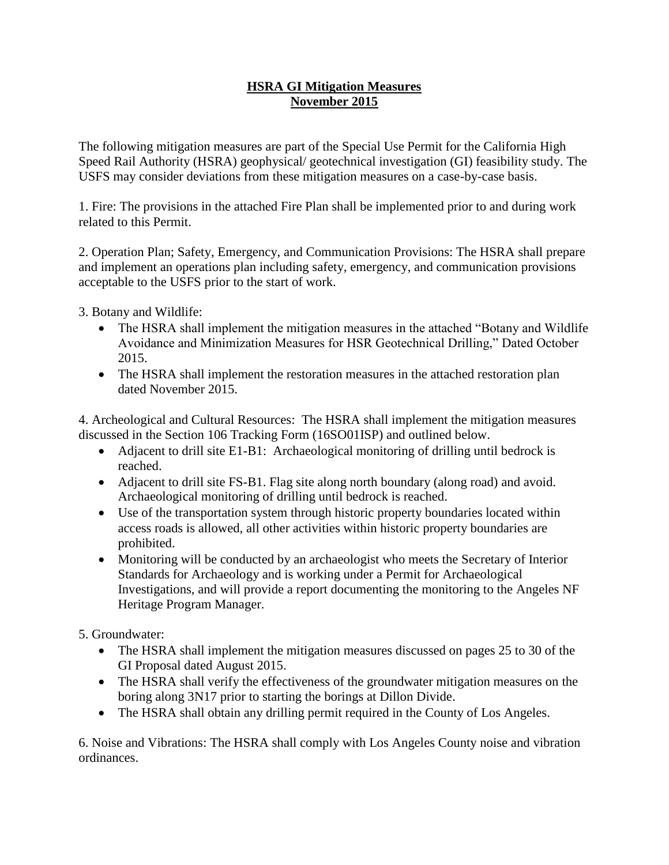## **HSRA GI Mitigation Measures November 2015**

The following mitigation measures are part of the Special Use Permit for the California High Speed Rail Authority (HSRA) geophysical/ geotechnical investigation (GI) feasibility study. The USFS may consider deviations from these mitigation measures on a case-by-case basis.

1. Fire: The provisions in the attached Fire Plan shall be implemented prior to and during work related to this Permit.

2. Operation Plan; Safety, Emergency, and Communication Provisions: The HSRA shall prepare and implement an operations plan including safety, emergency, and communication provisions acceptable to the USFS prior to the start of work.

3. Botany and Wildlife:

- The HSRA shall implement the mitigation measures in the attached "Botany and Wildlife" Avoidance and Minimization Measures for HSR Geotechnical Drilling," Dated October 2015.
- The HSRA shall implement the restoration measures in the attached restoration plan dated November 2015.

4. Archeological and Cultural Resources: The HSRA shall implement the mitigation measures discussed in the Section 106 Tracking Form (16SO01ISP) and outlined below.

- Adjacent to drill site E1-B1: Archaeological monitoring of drilling until bedrock is reached.
- Adjacent to drill site FS-B1. Flag site along north boundary (along road) and avoid. Archaeological monitoring of drilling until bedrock is reached.
- Use of the transportation system through historic property boundaries located within access roads is allowed, all other activities within historic property boundaries are prohibited.
- Monitoring will be conducted by an archaeologist who meets the Secretary of Interior Standards for Archaeology and is working under a Permit for Archaeological Investigations, and will provide a report documenting the monitoring to the Angeles NF Heritage Program Manager.

## 5. Groundwater:

- The HSRA shall implement the mitigation measures discussed on pages 25 to 30 of the GI Proposal dated August 2015.
- The HSRA shall verify the effectiveness of the groundwater mitigation measures on the boring along 3N17 prior to starting the borings at Dillon Divide.
- The HSRA shall obtain any drilling permit required in the County of Los Angeles.

6. Noise and Vibrations: The HSRA shall comply with Los Angeles County noise and vibration ordinances.